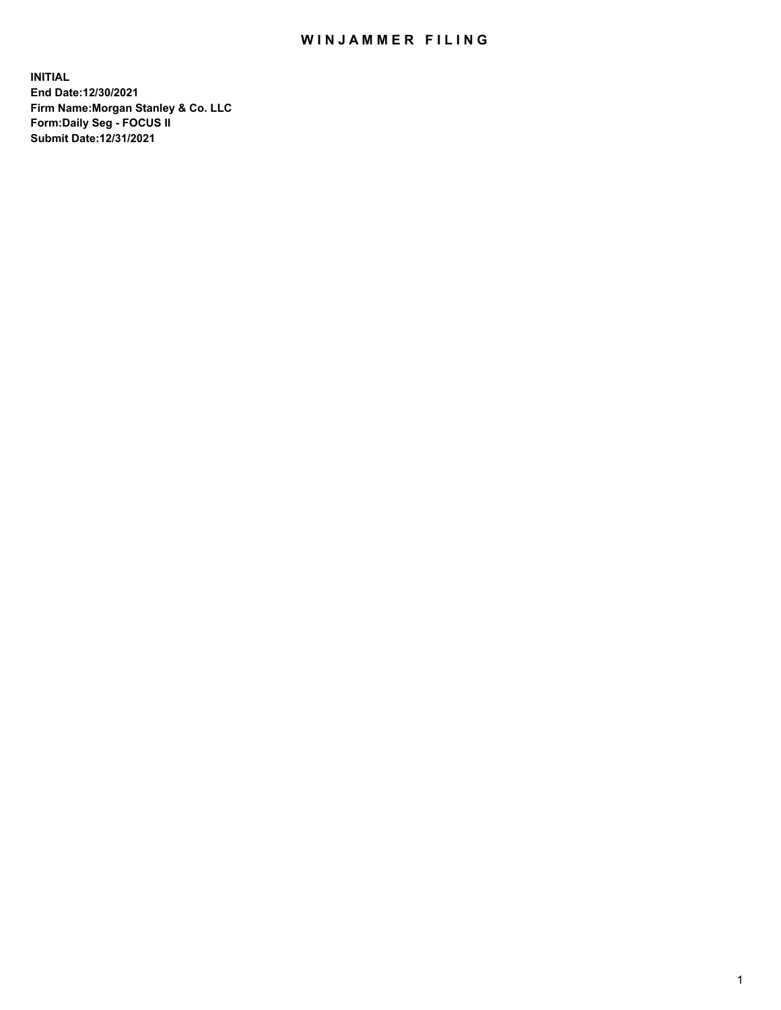## WIN JAMMER FILING

**INITIAL End Date:12/30/2021 Firm Name:Morgan Stanley & Co. LLC Form:Daily Seg - FOCUS II Submit Date:12/31/2021**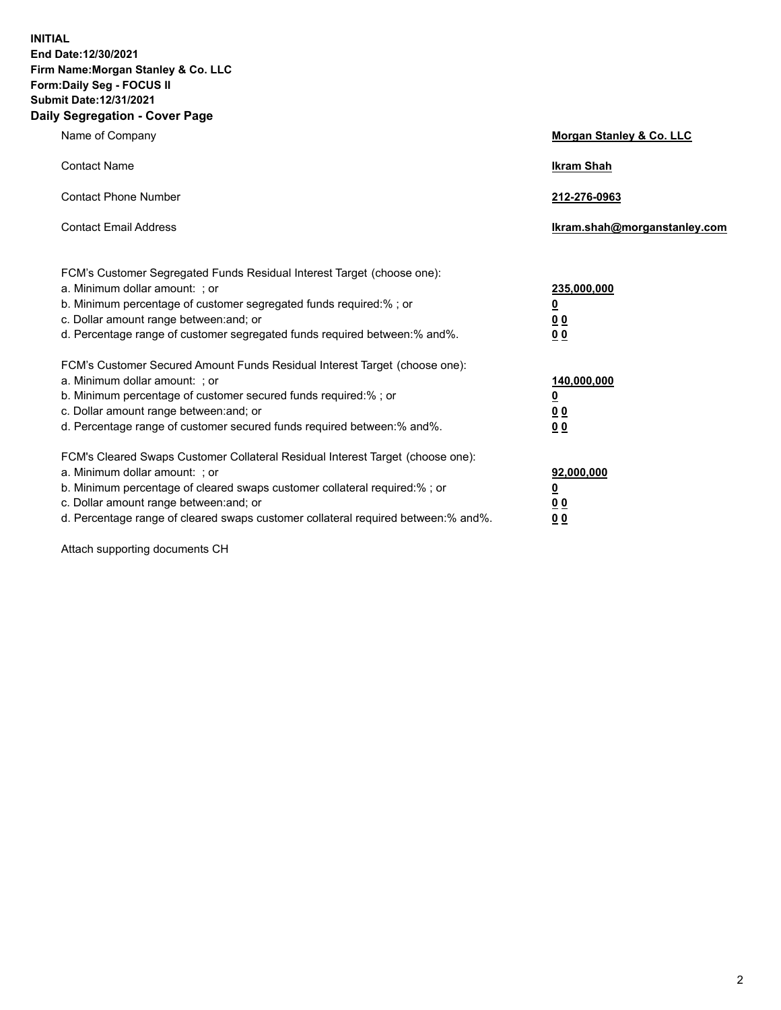**INITIAL End Date:12/30/2021 Firm Name:Morgan Stanley & Co. LLC Form:Daily Seg - FOCUS II Submit Date:12/31/2021 Daily Segregation - Cover Page**

| Name of Company                                                                                                                                                                                                                                                                                                               | Morgan Stanley & Co. LLC                               |
|-------------------------------------------------------------------------------------------------------------------------------------------------------------------------------------------------------------------------------------------------------------------------------------------------------------------------------|--------------------------------------------------------|
| <b>Contact Name</b>                                                                                                                                                                                                                                                                                                           | <b>Ikram Shah</b>                                      |
| <b>Contact Phone Number</b>                                                                                                                                                                                                                                                                                                   | 212-276-0963                                           |
| <b>Contact Email Address</b>                                                                                                                                                                                                                                                                                                  | Ikram.shah@morganstanley.com                           |
| FCM's Customer Segregated Funds Residual Interest Target (choose one):<br>a. Minimum dollar amount: : or<br>b. Minimum percentage of customer segregated funds required:% ; or<br>c. Dollar amount range between: and; or<br>d. Percentage range of customer segregated funds required between:% and%.                        | 235,000,000<br><u>0</u><br><u>00</u><br>0 <sup>0</sup> |
| FCM's Customer Secured Amount Funds Residual Interest Target (choose one):<br>a. Minimum dollar amount: ; or<br>b. Minimum percentage of customer secured funds required:%; or<br>c. Dollar amount range between: and; or<br>d. Percentage range of customer secured funds required between:% and%.                           | 140,000,000<br><u>0</u><br><u>00</u><br>0 <sup>0</sup> |
| FCM's Cleared Swaps Customer Collateral Residual Interest Target (choose one):<br>a. Minimum dollar amount: ; or<br>b. Minimum percentage of cleared swaps customer collateral required:%; or<br>c. Dollar amount range between: and; or<br>d. Percentage range of cleared swaps customer collateral required between:% and%. | 92,000,000<br><u>0</u><br><u>00</u><br>00              |

Attach supporting documents CH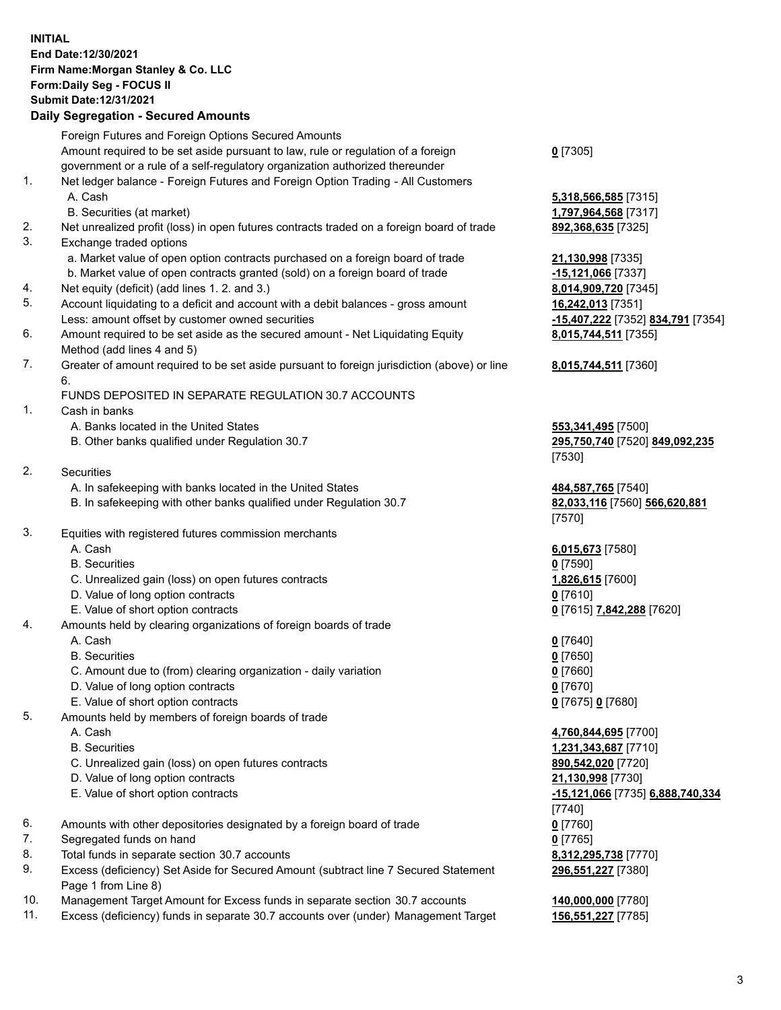## **INITIAL End Date:12/30/2021 Firm Name:Morgan Stanley & Co. LLC Form:Daily Seg - FOCUS II Submit Date:12/31/2021**

## **Daily Segregation - Secured Amounts**

Foreign Futures and Foreign Options Secured Amounts Amount required to be set aside pursuant to law, rule or regulation of a foreign government or a rule of a self-regulatory organization authorized thereunder 1. Net ledger balance - Foreign Futures and Foreign Option Trading - All Customers A. Cash **5,318,566,585** [7315] B. Securities (at market) **1,797,964,568** [7317] 2. Net unrealized profit (loss) in open futures contracts traded on a foreign board of trade **892,368,635** [7325] 3. Exchange traded options a. Market value of open option contracts purchased on a foreign board of trade **21,130,998** [7335] b. Market value of open contracts granted (sold) on a foreign board of trade **-15,121,066** [7337] 4. Net equity (deficit) (add lines 1. 2. and 3.) **8,014,909,720** [7345] 5. Account liquidating to a deficit and account with a debit balances - gross amount **16,242,013** [7351] Less: amount offset by customer owned securities **-15,407,222** [7352] **834,791** [7354] 6. Amount required to be set aside as the secured amount - Net Liquidating Equity Method (add lines 4 and 5) 7. Greater of amount required to be set aside pursuant to foreign jurisdiction (above) or line 6. FUNDS DEPOSITED IN SEPARATE REGULATION 30.7 ACCOUNTS 1. Cash in banks A. Banks located in the United States **553,341,495** [7500] B. Other banks qualified under Regulation 30.7 **295,750,740** [7520] **849,092,235** 2. Securities A. In safekeeping with banks located in the United States **484,587,765** [7540] B. In safekeeping with other banks qualified under Regulation 30.7 **82,033,116** [7560] **566,620,881** 3. Equities with registered futures commission merchants A. Cash **6,015,673** [7580] B. Securities **0** [7590] C. Unrealized gain (loss) on open futures contracts **1,826,615** [7600] D. Value of long option contracts **0** [7610] E. Value of short option contracts **0** [7615] **7,842,288** [7620] 4. Amounts held by clearing organizations of foreign boards of trade A. Cash **0** [7640] B. Securities **0** [7650] C. Amount due to (from) clearing organization - daily variation **0** [7660] D. Value of long option contracts **0** [7670] E. Value of short option contracts **0** [7675] **0** [7680] 5. Amounts held by members of foreign boards of trade A. Cash **4,760,844,695** [7700] B. Securities **1,231,343,687** [7710] C. Unrealized gain (loss) on open futures contracts **890,542,020** [7720] D. Value of long option contracts **21,130,998** [7730] E. Value of short option contracts **-15,121,066** [7735] **6,888,740,334** 6. Amounts with other depositories designated by a foreign board of trade **0** [7760] 7. Segregated funds on hand **0** [7765] 8. Total funds in separate section 30.7 accounts **8,312,295,738** [7770] 9. Excess (deficiency) Set Aside for Secured Amount (subtract line 7 Secured Statement Page 1 from Line 8)

- 10. Management Target Amount for Excess funds in separate section 30.7 accounts **140,000,000** [7780]
- 11. Excess (deficiency) funds in separate 30.7 accounts over (under) Management Target **156,551,227** [7785]

**0** [7305]

**8,015,744,511** [7355]

## **8,015,744,511** [7360]

[7530]

[7570]

[7740] **296,551,227** [7380]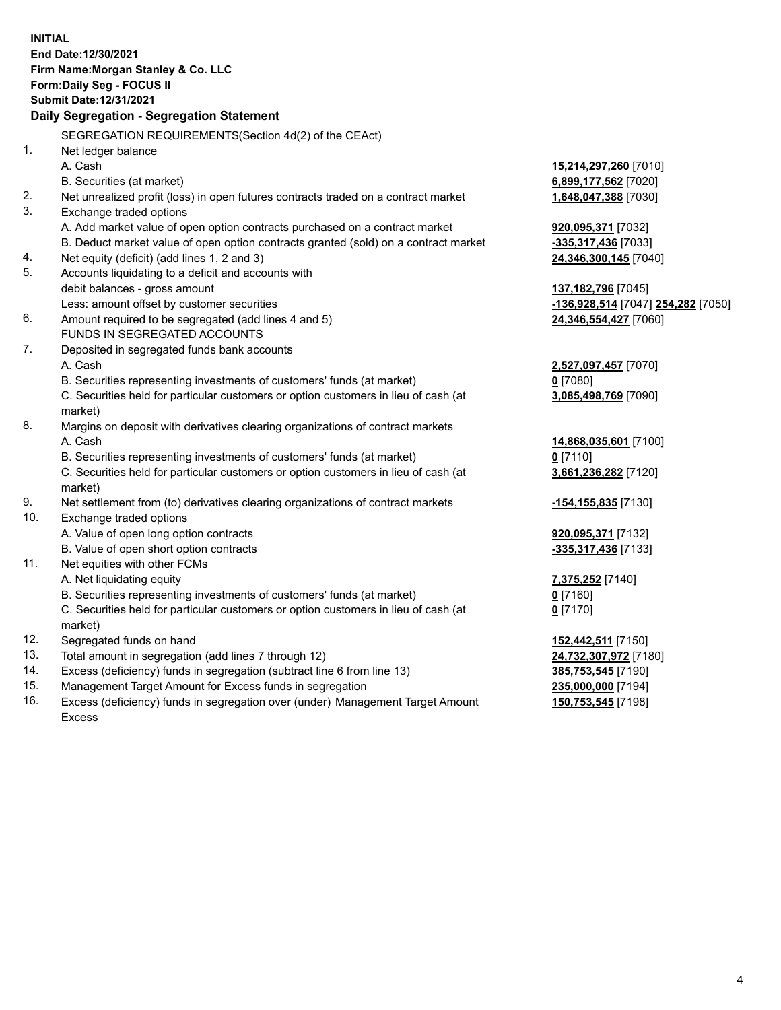**INITIAL End Date:12/30/2021 Firm Name:Morgan Stanley & Co. LLC Form:Daily Seg - FOCUS II Submit Date:12/31/2021 Daily Segregation - Segregation Statement** SEGREGATION REQUIREMENTS(Section 4d(2) of the CEAct) 1. Net ledger balance A. Cash **15,214,297,260** [7010] B. Securities (at market) **6,899,177,562** [7020] 2. Net unrealized profit (loss) in open futures contracts traded on a contract market **1,648,047,388** [7030] 3. Exchange traded options A. Add market value of open option contracts purchased on a contract market **920,095,371** [7032] B. Deduct market value of open option contracts granted (sold) on a contract market **-335,317,436** [7033] 4. Net equity (deficit) (add lines 1, 2 and 3) **24,346,300,145** [7040] 5. Accounts liquidating to a deficit and accounts with debit balances - gross amount **137,182,796** [7045] Less: amount offset by customer securities **-136,928,514** [7047] **254,282** [7050] 6. Amount required to be segregated (add lines 4 and 5) **24,346,554,427** [7060] FUNDS IN SEGREGATED ACCOUNTS 7. Deposited in segregated funds bank accounts A. Cash **2,527,097,457** [7070] B. Securities representing investments of customers' funds (at market) **0** [7080] C. Securities held for particular customers or option customers in lieu of cash (at market) **3,085,498,769** [7090] 8. Margins on deposit with derivatives clearing organizations of contract markets A. Cash **14,868,035,601** [7100] B. Securities representing investments of customers' funds (at market) **0** [7110] C. Securities held for particular customers or option customers in lieu of cash (at market) **3,661,236,282** [7120] 9. Net settlement from (to) derivatives clearing organizations of contract markets **-154,155,835** [7130] 10. Exchange traded options A. Value of open long option contracts **920,095,371** [7132] B. Value of open short option contracts **-335,317,436** [7133] 11. Net equities with other FCMs A. Net liquidating equity **7,375,252** [7140] B. Securities representing investments of customers' funds (at market) **0** [7160] C. Securities held for particular customers or option customers in lieu of cash (at market) **0** [7170] 12. Segregated funds on hand **152,442,511** [7150] 13. Total amount in segregation (add lines 7 through 12) **24,732,307,972** [7180] 14. Excess (deficiency) funds in segregation (subtract line 6 from line 13) **385,753,545** [7190] 15. Management Target Amount for Excess funds in segregation **235,000,000** [7194]

16. Excess (deficiency) funds in segregation over (under) Management Target Amount Excess

**150,753,545** [7198]